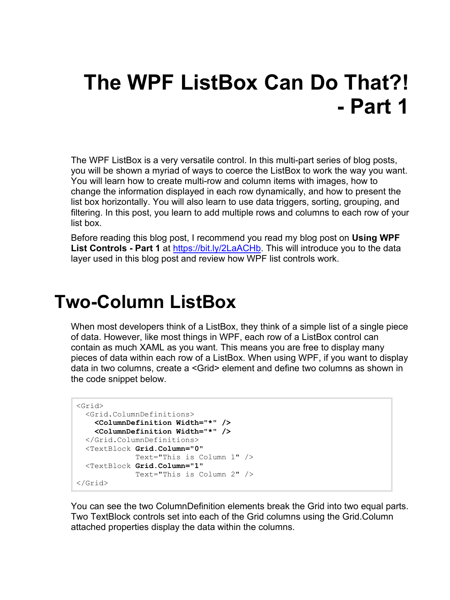# **The WPF ListBox Can Do That?! - Part 1**

The WPF ListBox is a very versatile control. In this multi-part series of blog posts, you will be shown a myriad of ways to coerce the ListBox to work the way you want. You will learn how to create multi-row and column items with images, how to change the information displayed in each row dynamically, and how to present the list box horizontally. You will also learn to use data triggers, sorting, grouping, and filtering. In this post, you learn to add multiple rows and columns to each row of your list box.

Before reading this blog post, I recommend you read my blog post on **Using WPF List Controls - Part 1** at [https://bit.ly/2LaACHb.](https://bit.ly/2LaACHb) This will introduce you to the data layer used in this blog post and review how WPF list controls work.

### **Two-Column ListBox**

When most developers think of a ListBox, they think of a simple list of a single piece of data. However, like most things in WPF, each row of a ListBox control can contain as much XAML as you want. This means you are free to display many pieces of data within each row of a ListBox. When using WPF, if you want to display data in two columns, create a <Grid> element and define two columns as shown in the code snippet below.

```
<Grid>
  <Grid.ColumnDefinitions>
    <ColumnDefinition Width="*" />
     <ColumnDefinition Width="*" />
  </Grid.ColumnDefinitions>
  <TextBlock Grid.Column="0"
             Text="This is Column 1" />
  <TextBlock Grid.Column="1"
             Text="This is Column 2" />
</Grid>
```
You can see the two ColumnDefinition elements break the Grid into two equal parts. Two TextBlock controls set into each of the Grid columns using the Grid.Column attached properties display the data within the columns.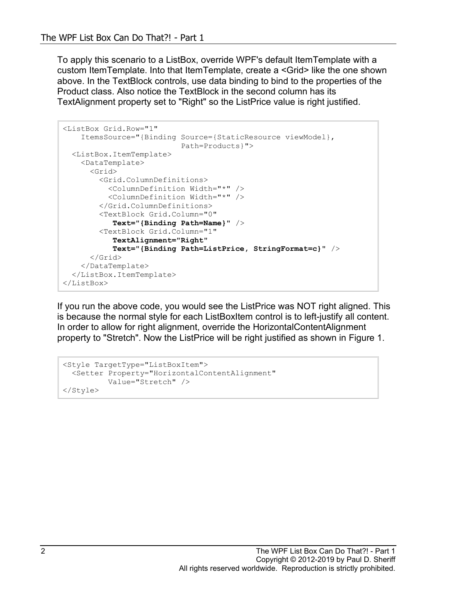To apply this scenario to a ListBox, override WPF's default ItemTemplate with a custom ItemTemplate. Into that ItemTemplate, create a <Grid> like the one shown above. In the TextBlock controls, use data binding to bind to the properties of the Product class. Also notice the TextBlock in the second column has its TextAlignment property set to "Right" so the ListPrice value is right justified.

```
<ListBox Grid.Row="1"
    ItemsSource="{Binding Source={StaticResource viewModel},
                            Path=Products}">
  <ListBox.ItemTemplate>
    <DataTemplate>
       <Grid>
         <Grid.ColumnDefinitions>
           <ColumnDefinition Width="*" />
           <ColumnDefinition Width="*" />
         </Grid.ColumnDefinitions>
         <TextBlock Grid.Column="0"
            Text="{Binding Path=Name}" />
         <TextBlock Grid.Column="1"
            TextAlignment="Right"
            Text="{Binding Path=ListPrice, StringFormat=c}" />
       </Grid>
     </DataTemplate>
  </ListBox.ItemTemplate>
</ListBox>
```
If you run the above code, you would see the ListPrice was NOT right aligned. This is because the normal style for each ListBoxItem control is to left-justify all content. In order to allow for right alignment, override the HorizontalContentAlignment property to "Stretch". Now the ListPrice will be right justified as shown in [Figure 1.](#page-2-0)

```
<Style TargetType="ListBoxItem">
  <Setter Property="HorizontalContentAlignment"
          Value="Stretch" />
</Style>
```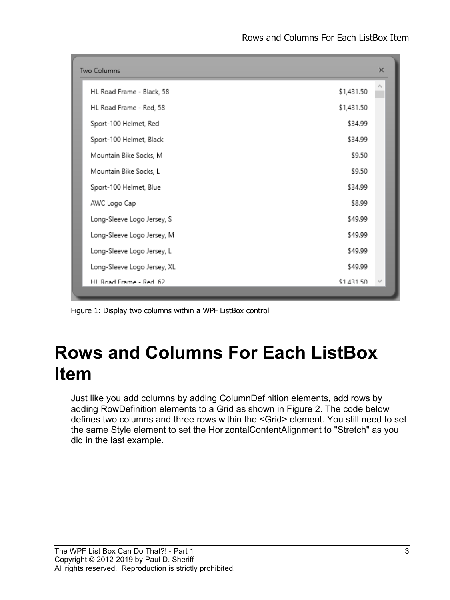| <b>Two Columns</b>          |            | $\times$ |
|-----------------------------|------------|----------|
| HL Road Frame - Black, 58   | \$1,431.50 | Λ        |
| HL Road Frame - Red, 58     | \$1,431.50 |          |
| Sport-100 Helmet, Red       | \$34.99    |          |
| Sport-100 Helmet, Black     | \$34.99    |          |
| Mountain Bike Socks, M      | \$9.50     |          |
| Mountain Bike Socks, L      | \$9.50     |          |
| Sport-100 Helmet, Blue      | \$34.99    |          |
| AWC Logo Cap                | \$8.99     |          |
| Long-Sleeve Logo Jersey, S  | \$49.99    |          |
| Long-Sleeve Logo Jersey, M  | \$49.99    |          |
| Long-Sleeve Logo Jersey, L  | \$49.99    |          |
| Long-Sleeve Logo Jersey, XL | \$49.99    |          |
| HI Road Frame - Red 62      | \$1,431.50 |          |

<span id="page-2-0"></span>Figure 1: Display two columns within a WPF ListBox control

## **Rows and Columns For Each ListBox Item**

Just like you add columns by adding ColumnDefinition elements, add rows by adding RowDefinition elements to a Grid as shown in [Figure 2.](#page-4-0) The code below defines two columns and three rows within the <Grid> element. You still need to set the same Style element to set the HorizontalContentAlignment to "Stretch" as you did in the last example.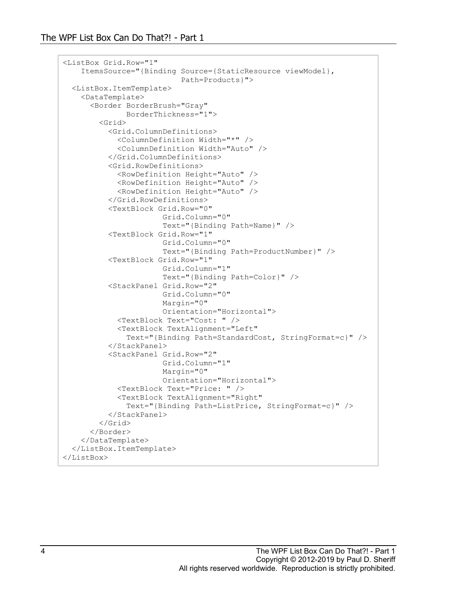```
<ListBox Grid.Row="1"
     ItemsSource="{Binding Source={StaticResource viewModel},
                            Path=Products}">
  <ListBox.ItemTemplate>
    <DataTemplate>
       <Border BorderBrush="Gray"
               BorderThickness="1">
         <Grid>
           <Grid.ColumnDefinitions>
             <ColumnDefinition Width="*" />
             <ColumnDefinition Width="Auto" />
           </Grid.ColumnDefinitions>
           <Grid.RowDefinitions>
             <RowDefinition Height="Auto" />
             <RowDefinition Height="Auto" />
             <RowDefinition Height="Auto" />
           </Grid.RowDefinitions>
           <TextBlock Grid.Row="0"
                       Grid.Column="0"
                       Text="{Binding Path=Name}" />
           <TextBlock Grid.Row="1"
                        Grid.Column="0"
                       Text="{Binding Path=ProductNumber}" />
           <TextBlock Grid.Row="1"
                        Grid.Column="1"
                       Text="{Binding Path=Color}" />
           <StackPanel Grid.Row="2"
                        Grid.Column="0"
                       Margin="0"
                       Orientation="Horizontal">
             <TextBlock Text="Cost: " />
             <TextBlock TextAlignment="Left"
               Text="{Binding Path=StandardCost, StringFormat=c}" />
           </StackPanel>
           <StackPanel Grid.Row="2"
                        Grid.Column="1"
                       Margin="0"
                      Orientation="Horizontal">
             <TextBlock Text="Price: " />
             <TextBlock TextAlignment="Right"
               Text="{Binding Path=ListPrice, StringFormat=c}" />
           </StackPanel>
         </Grid>
       </Border>
     </DataTemplate>
  </ListBox.ItemTemplate>
</ListBox>
```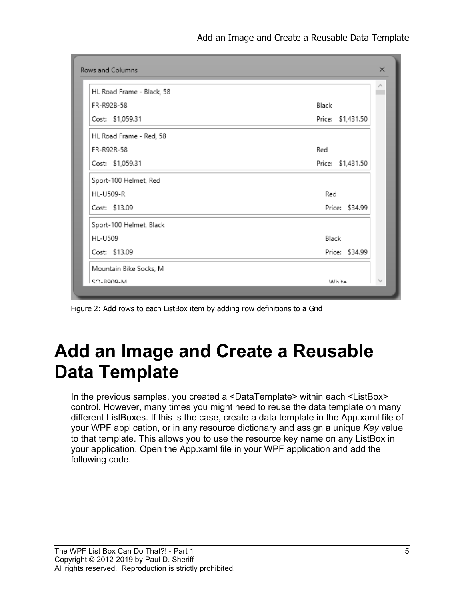| HL Road Frame - Black, 58 |                   |
|---------------------------|-------------------|
| FR-R92B-58                | Black             |
| Cost: \$1,059.31          | Price: \$1,431.50 |
| HL Road Frame - Red, 58   |                   |
| FR-R92R-58                | Red               |
| Cost: \$1,059.31          | Price: \$1,431.50 |
| Sport-100 Helmet, Red     |                   |
| HL-U509-R                 | Red               |
| Cost: \$13.09             | Price: \$34.99    |
| Sport-100 Helmet, Black   |                   |
| <b>HL-U509</b>            | Black             |
| Cost: \$13.09             | Price: \$34.99    |
| Mountain Bike Socks, M    |                   |
| SO-ROOD-M                 | <i>Mhite</i>      |

<span id="page-4-0"></span>Figure 2: Add rows to each ListBox item by adding row definitions to a Grid

# **Add an Image and Create a Reusable Data Template**

In the previous samples, you created a <DataTemplate> within each <ListBox> control. However, many times you might need to reuse the data template on many different ListBoxes. If this is the case, create a data template in the App.xaml file of your WPF application, or in any resource dictionary and assign a unique *Key* value to that template. This allows you to use the resource key name on any ListBox in your application. Open the App.xaml file in your WPF application and add the following code.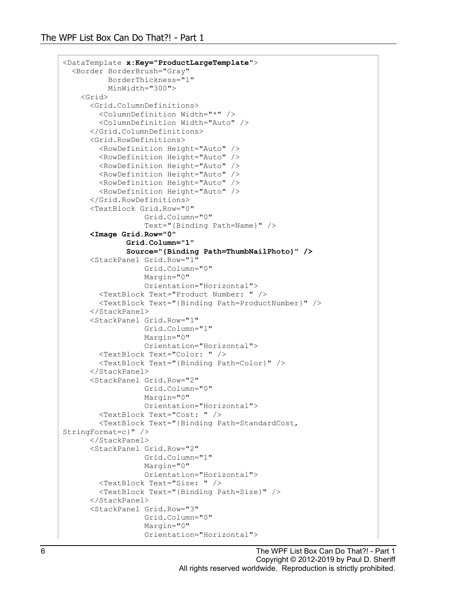```
<DataTemplate x:Key="ProductLargeTemplate">
   <Border BorderBrush="Gray"
           BorderThickness="1"
           MinWidth="300">
     <Grid>
       <Grid.ColumnDefinitions>
         <ColumnDefinition Width="*" />
         <ColumnDefinition Width="Auto" />
       </Grid.ColumnDefinitions>
       <Grid.RowDefinitions>
         <RowDefinition Height="Auto" />
         <RowDefinition Height="Auto" />
         <RowDefinition Height="Auto" />
         <RowDefinition Height="Auto" />
         <RowDefinition Height="Auto" />
         <RowDefinition Height="Auto" />
       </Grid.RowDefinitions>
       <TextBlock Grid.Row="0"
                   Grid.Column="0"
                   Text="{Binding Path=Name}" />
       <Image Grid.Row="0"
               Grid.Column="1"
               Source="{Binding Path=ThumbNailPhoto}" />
       <StackPanel Grid.Row="1"
                    Grid.Column="0"
                  Margin="0"
                  Orientation="Horizontal">
         <TextBlock Text="Product Number: " />
         <TextBlock Text="{Binding Path=ProductNumber}" />
       </StackPanel>
       <StackPanel Grid.Row="1"
                   Grid.Column="1"
                  Margin="0"
                  Orientation="Horizontal">
         <TextBlock Text="Color: " />
         <TextBlock Text="{Binding Path=Color}" />
       </StackPanel>
       <StackPanel Grid.Row="2"
                    Grid.Column="0"
                  Margin="0"
                  Orientation="Horizontal">
         <TextBlock Text="Cost: " />
         <TextBlock Text="{Binding Path=StandardCost, 
StringFormat=c}" />
       </StackPanel>
       <StackPanel Grid.Row="2"
                   Grid.Column="1"
                  Margin="0"
                  Orientation="Horizontal">
         <TextBlock Text="Size: " />
         <TextBlock Text="{Binding Path=Size}" />
       </StackPanel>
       <StackPanel Grid.Row="3"
                   Grid.Column="0"
                  Margin="0"
                  Orientation="Horizontal">
```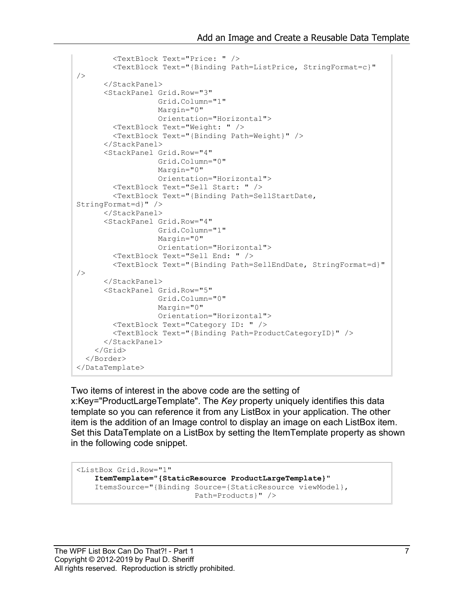```
 <TextBlock Text="Price: " />
         <TextBlock Text="{Binding Path=ListPrice, StringFormat=c}" 
/ </StackPanel>
       <StackPanel Grid.Row="3"
                   Grid.Column="1"
                  Margin="0"
                  Orientation="Horizontal">
         <TextBlock Text="Weight: " />
         <TextBlock Text="{Binding Path=Weight}" />
       </StackPanel>
       <StackPanel Grid.Row="4"
                   Grid.Column="0"
                  Margin="0"
                  Orientation="Horizontal">
         <TextBlock Text="Sell Start: " />
         <TextBlock Text="{Binding Path=SellStartDate, 
StringFormat=d}" />
       </StackPanel>
       <StackPanel Grid.Row="4"
                   Grid.Column="1"
                  Margin="0"
                  Orientation="Horizontal">
         <TextBlock Text="Sell End: " />
         <TextBlock Text="{Binding Path=SellEndDate, StringFormat=d}" 
/>
       </StackPanel>
       <StackPanel Grid.Row="5"
                   Grid.Column="0"
                  Margin="0"
                  Orientation="Horizontal">
         <TextBlock Text="Category ID: " />
         <TextBlock Text="{Binding Path=ProductCategoryID}" />
       </StackPanel>
     </Grid>
   </Border>
</DataTemplate>
```
Two items of interest in the above code are the setting of x:Key="ProductLargeTemplate". The *Key* property uniquely identifies this data template so you can reference it from any ListBox in your application. The other item is the addition of an Image control to display an image on each ListBox item. Set this DataTemplate on a ListBox by setting the ItemTemplate property as shown in the following code snippet.

```
<ListBox Grid.Row="1"
     ItemTemplate="{StaticResource ProductLargeTemplate}"
     ItemsSource="{Binding Source={StaticResource viewModel},
                           Path=Products}" />
```